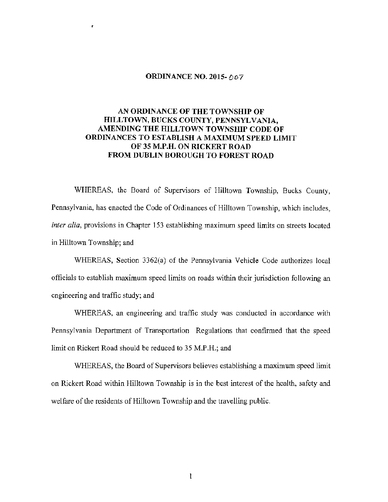## ORDINANCE NO. 2015- $\triangle$ 07

ł

## **AN ORDINANCE OF THE TOWNSHIP OF HILLTOWN, BUCKS COUNTY, PENNSYLVANIA, AMENDING THE HILLTOWN TOWNSHIP CODE OF ORDINANCES TO ESTABLISH** A **MAXIMUM SPEED LIMIT OF** 35 **M.P.H. ON RICKERT ROAD FROM DUBLIN BOROUGH TO FOREST ROAD**

WHEREAS, the Board of Supervisors of Hilltown Township, Bucks County, Pennsylvania, has enacted the Code of Ordinances of Hilltown Township, which includes, *inter alia*, provisions in Chapter 153 establishing maximum speed limits on streets located in Hilltown Township; and

WHEREAS, Section 3362(a) of the Pennsylvania Vehicle Code authorizes local officials to establish maximum speed limits on roads within their jurisdiction following an engineering and traffic study; and

WHEREAS, an engineering and traffic study was conducted in accordance with Pennsylvania Department of Transportation Regulations that confirmed that the speed limit on Rickert Road should be reduced to 35 M.P.H.; and

WHEREAS, the Board of Supervisors believes establishing a maximum speed limit on Rickert Road within Hilltown Township is in the best interest of the health, safety and welfare of the residents of Hilltown Township and the travelling public.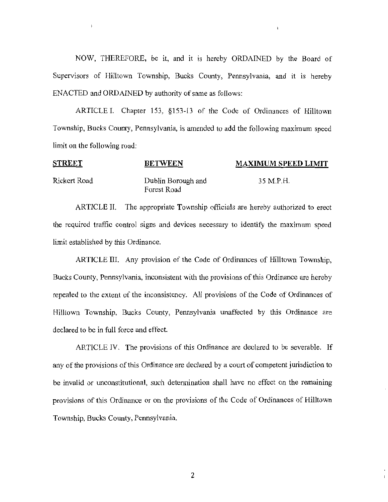NOW, THEREFORE, be it, and it is hereby ORDAINED by the Board of Supervisors of Hilltown Township, Bucks County, Pennsylvania, and it is hereby ENACTED and ORDAINED by authority of same as follows:

 $\mathbf{\hat{t}}$ 

ARTICLE I. Chapter 153, §153-13 of the Code of Ordinances of Hilltown Township, Bucks County, Pennsylvania, is amended to add the following maximum speed limit on the following road:

| <b>STREET</b> | <b>BETWEEN</b>                    | <b>MAXIMUM SPEED LIMIT</b> |
|---------------|-----------------------------------|----------------------------|
| Rickert Road  | Dublin Borough and<br>Forest Road | 35 M.P.H.                  |

ARTICLE II. The appropriate Township officials are hereby authorized to erect the required traffic control signs and devices necessary to identify the maximum speed limit established by this Ordinance.

ARTICLE III. Any provision of the Code of Ordinances of Hilltown Township, Bucks County, Pennsylvania, inconsistent with the provisions of this Ordinance are hereby repealed to the extent of the inconsistency. All provisions of the Code of Ordinances of Hilltown Township, Bucks County, Pennsylvania unaffected by this Ordinance are declared to be in full force and effect.

ARTICLE IV. The provisions of this Ordinance are declared to be severable. If any of the provisions of this Ordinance are declared by a court of competent jurisdiction to be invalid or unconstitutional, such detennination shall have no effect on the remaining provisions of this Ordinance or on the provisions of the Code of Ordinances of Hilltown Township, Bucks County, Pennsylvania